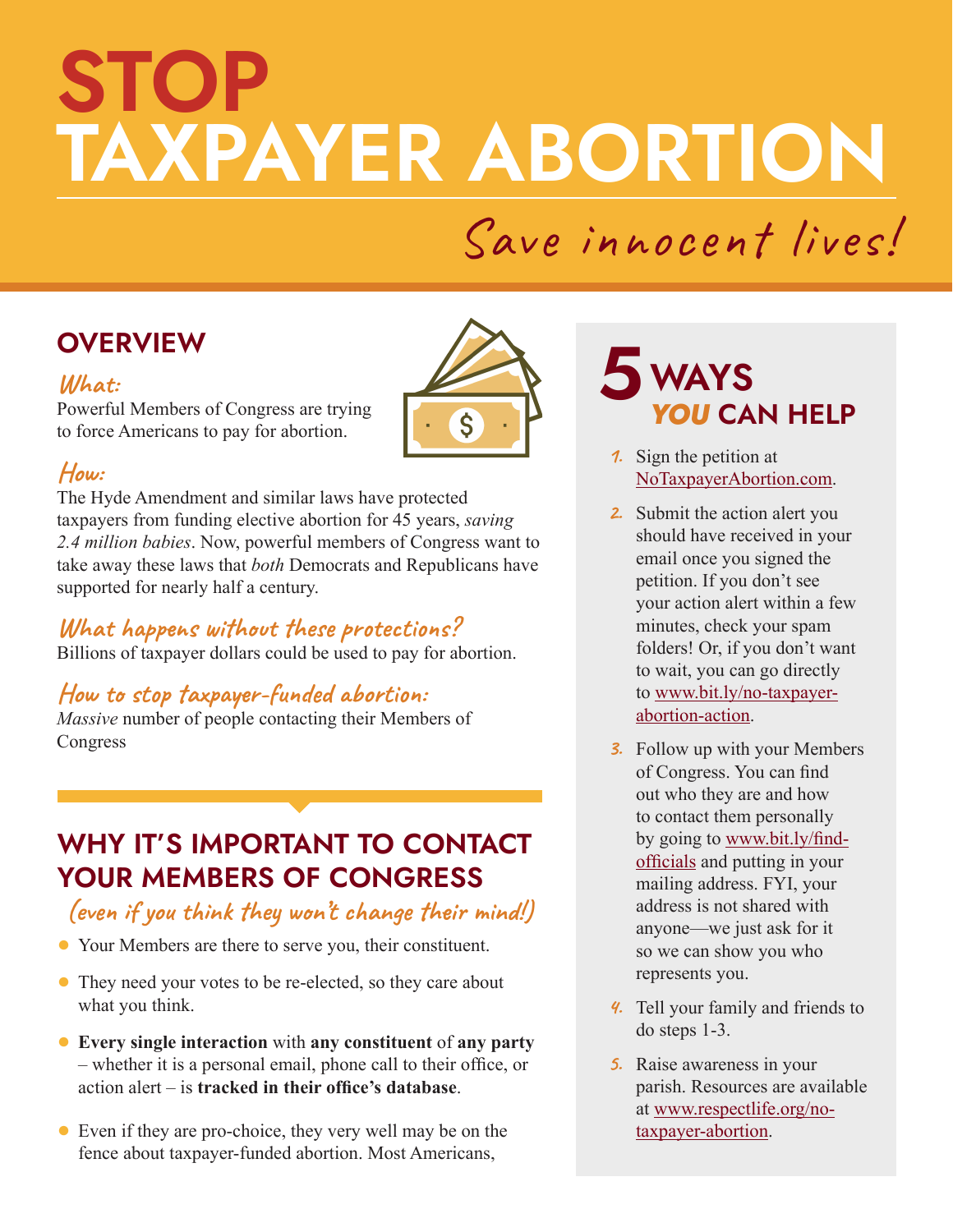# **STOP TAXPAYER ABORTION**

# Save innocent lives!

# **OVERVIEW**

#### **What:**

Powerful Members of Congress are trying to force Americans to pay for abortion.



#### **How:**

The Hyde Amendment and similar laws have protected taxpayers from funding elective abortion for 45 years, *saving 2.4 million babies*. Now, powerful members of Congress want to take away these laws that *both* Democrats and Republicans have supported for nearly half a century.

#### **What happens without these protections?**

Billions of taxpayer dollars could be used to pay for abortion.

#### **How to stop taxpayer-funded abortion:**

*Massive* number of people contacting their Members of Congress

## **WHY IT'S IMPORTANT TO CONTACT YOUR MEMBERS OF CONGRESS**

#### **(even if you think they won't change their mind!)**

- **●** Your Members are there to serve you, their constituent.
- **●** They need your votes to be re-elected, so they care about what you think.
- **● Every single interaction** with **any constituent** of **any party**  – whether it is a personal email, phone call to their office, or action alert – is **tracked in their office's database**.
- **●** Even if they are pro-choice, they very well may be on the fence about taxpayer-funded abortion. Most Americans,

# **WAYS** *YOU* **CAN HELP 5**

- **1.** Sign the petition at [NoTaxpayerAbortion.com.](https://www.notaxpayerabortion.com/)
- **2.** Submit the action alert you should have received in your email once you signed the petition. If you don't see your action alert within a few minutes, check your spam folders! Or, if you don't want to wait, you can go directly to [www.bit.ly/no-taxpayer](http://www.bit.ly/no-taxpayer-abortion-action)[abortion-action](http://www.bit.ly/no-taxpayer-abortion-action).
- **3.** Follow up with your Members of Congress. You can find out who they are and how to contact them personally by going to [www.bit.ly/find](http://www.bit.ly/find-officials)[officials](http://www.bit.ly/find-officials) and putting in your mailing address. FYI, your address is not shared with anyone—we just ask for it so we can show you who represents you.
- **4.** Tell your family and friends to do steps 1-3.
- **5.** Raise awareness in your parish. Resources are available at [www.respectlife.org/no](http://www.respectlife.org/no-taxpayer-abortion)[taxpayer-abortion.](http://www.respectlife.org/no-taxpayer-abortion)